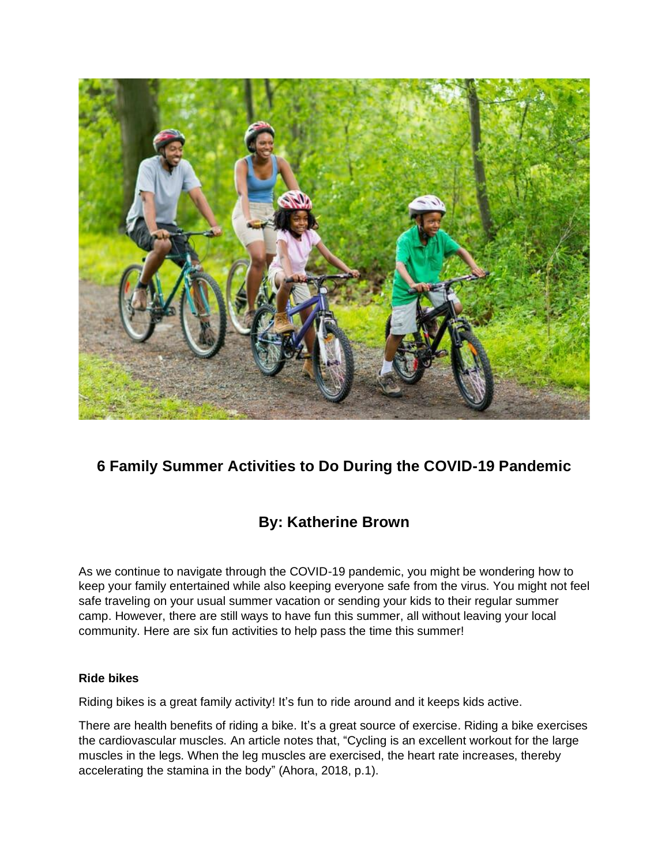

# **6 Family Summer Activities to Do During the COVID-19 Pandemic**

# **By: Katherine Brown**

As we continue to navigate through the COVID-19 pandemic, you might be wondering how to keep your family entertained while also keeping everyone safe from the virus. You might not feel safe traveling on your usual summer vacation or sending your kids to their regular summer camp. However, there are still ways to have fun this summer, all without leaving your local community. Here are six fun activities to help pass the time this summer!

### **Ride bikes**

Riding bikes is a great family activity! It's fun to ride around and it keeps kids active.

There are health benefits of riding a bike. It's a great source of exercise. Riding a bike exercises the cardiovascular muscles. An article notes that, "Cycling is an excellent workout for the large muscles in the legs. When the leg muscles are exercised, the heart rate increases, thereby accelerating the stamina in the body" (Ahora, 2018, p.1).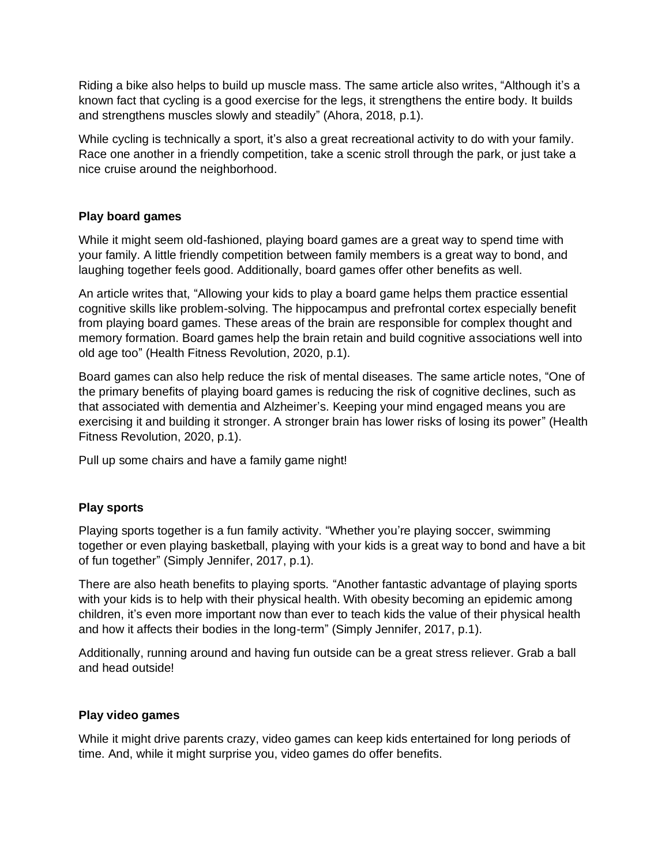Riding a bike also helps to build up muscle mass. The same article also writes, "Although it's a known fact that cycling is a good exercise for the legs, it strengthens the entire body. It builds and strengthens muscles slowly and steadily" (Ahora, 2018, p.1).

While cycling is technically a sport, it's also a great recreational activity to do with your family. Race one another in a friendly competition, take a scenic stroll through the park, or just take a nice cruise around the neighborhood.

## **Play board games**

While it might seem old-fashioned, playing board games are a great way to spend time with your family. A little friendly competition between family members is a great way to bond, and laughing together feels good. Additionally, board games offer other benefits as well.

An article writes that, "Allowing your kids to play a board game helps them practice essential cognitive skills like problem-solving. The hippocampus and prefrontal cortex especially benefit from playing board games. These areas of the brain are responsible for complex thought and memory formation. Board games help the brain retain and build cognitive associations well into old age too" (Health Fitness Revolution, 2020, p.1).

Board games can also help reduce the risk of mental diseases. The same article notes, "One of the primary benefits of playing board games is reducing the risk of cognitive declines, such as that associated with dementia and Alzheimer's. Keeping your mind engaged means you are exercising it and building it stronger. A stronger brain has lower risks of losing its power" (Health Fitness Revolution, 2020, p.1).

Pull up some chairs and have a family game night!

## **Play sports**

Playing sports together is a fun family activity. "Whether you're playing soccer, swimming together or even playing basketball, playing with your kids is a great way to bond and have a bit of fun together" (Simply Jennifer, 2017, p.1).

There are also heath benefits to playing sports. "Another fantastic advantage of playing sports with your kids is to help with their physical health. With obesity becoming an epidemic among children, it's even more important now than ever to teach kids the value of their physical health and how it affects their bodies in the long-term" (Simply Jennifer, 2017, p.1).

Additionally, running around and having fun outside can be a great stress reliever. Grab a ball and head outside!

### **Play video games**

While it might drive parents crazy, video games can keep kids entertained for long periods of time. And, while it might surprise you, video games do offer benefits.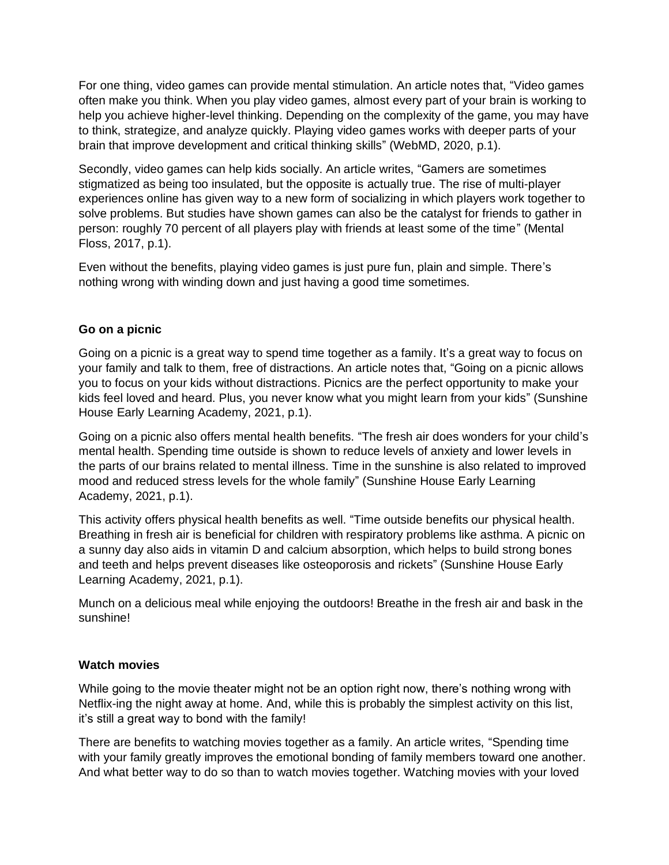For one thing, video games can provide mental stimulation. An article notes that, "Video games often make you think. When you play video games, almost every part of your brain is working to help you achieve higher-level thinking. Depending on the complexity of the game, you may have to think, strategize, and analyze quickly. Playing video games works with deeper parts of your brain that improve development and critical thinking skills" (WebMD, 2020, p.1).

Secondly, video games can help kids socially. An article writes, "Gamers are sometimes stigmatized as being too insulated, but the opposite is actually true. The rise of multi-player experiences online has given way to a new form of socializing in which players work together to solve problems. But studies have shown games can also be the catalyst for friends to gather in person: roughly 70 percent of all players play with friends at least some of the time" (Mental Floss, 2017, p.1).

Even without the benefits, playing video games is just pure fun, plain and simple. There's nothing wrong with winding down and just having a good time sometimes.

## **Go on a picnic**

Going on a picnic is a great way to spend time together as a family. It's a great way to focus on your family and talk to them, free of distractions. An article notes that, "Going on a picnic allows you to focus on your kids without distractions. Picnics are the perfect opportunity to make your kids feel loved and heard. Plus, you never know what you might learn from your kids" (Sunshine House Early Learning Academy, 2021, p.1).

Going on a picnic also offers mental health benefits. "The fresh air does wonders for your child's mental health. Spending time outside is shown to reduce levels of anxiety and lower levels in the parts of our brains related to mental illness. Time in the sunshine is also related to improved mood and reduced stress levels for the whole family" (Sunshine House Early Learning Academy, 2021, p.1).

This activity offers physical health benefits as well. "Time outside benefits our physical health. Breathing in fresh air is beneficial for children with respiratory problems like asthma. A picnic on a sunny day also aids in vitamin D and calcium absorption, which helps to build strong bones and teeth and helps prevent diseases like osteoporosis and rickets" (Sunshine House Early Learning Academy, 2021, p.1).

Munch on a delicious meal while enjoying the outdoors! Breathe in the fresh air and bask in the sunshine!

### **Watch movies**

While going to the movie theater might not be an option right now, there's nothing wrong with Netflix-ing the night away at home. And, while this is probably the simplest activity on this list, it's still a great way to bond with the family!

There are benefits to watching movies together as a family. An article writes, "Spending time with your family greatly improves the emotional bonding of family members toward one another. And what better way to do so than to watch movies together. Watching movies with your loved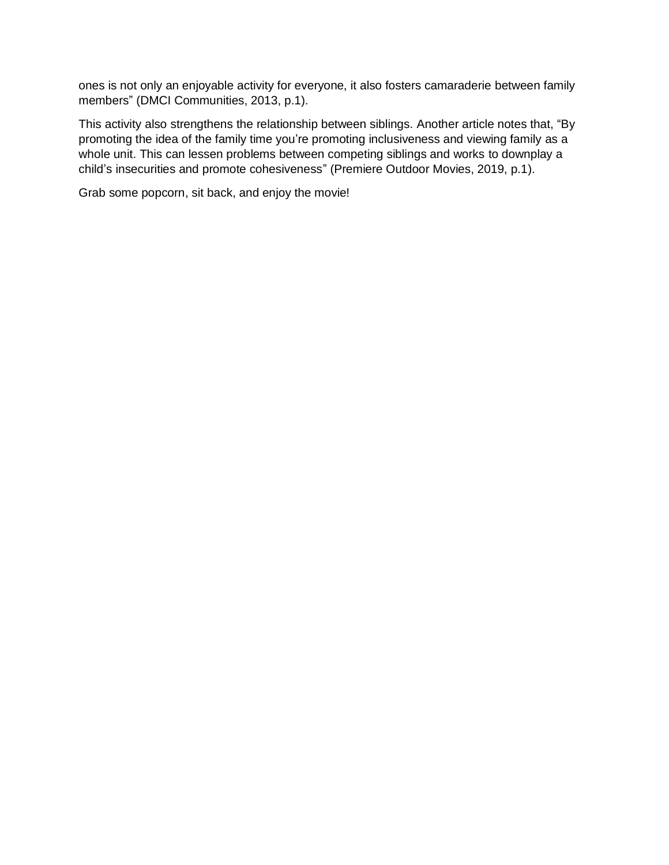ones is not only an enjoyable activity for everyone, it also fosters camaraderie between family members" (DMCI Communities, 2013, p.1).

This activity also strengthens the relationship between siblings. Another article notes that, "By promoting the idea of the family time you're promoting inclusiveness and viewing family as a whole unit. This can lessen problems between competing siblings and works to downplay a child's insecurities and promote cohesiveness" (Premiere Outdoor Movies, 2019, p.1).

Grab some popcorn, sit back, and enjoy the movie!